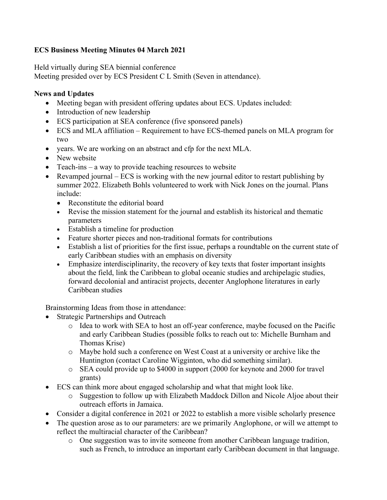## **ECS Business Meeting Minutes 04 March 2021**

Held virtually during SEA biennial conference

Meeting presided over by ECS President C L Smith (Seven in attendance).

## **News and Updates**

- Meeting began with president offering updates about ECS. Updates included:
- Introduction of new leadership
- ECS participation at SEA conference (five sponsored panels)
- ECS and MLA affiliation Requirement to have ECS-themed panels on MLA program for two
- years. We are working on an abstract and cfp for the next MLA.
- New website
- Teach-ins a way to provide teaching resources to website
- Revamped journal ECS is working with the new journal editor to restart publishing by summer 2022. Elizabeth Bohls volunteered to work with Nick Jones on the journal. Plans include:
	- Reconstitute the editorial board
	- Revise the mission statement for the journal and establish its historical and thematic parameters
	- Establish a timeline for production
	- Feature shorter pieces and non-traditional formats for contributions
	- Establish a list of priorities for the first issue, perhaps a roundtable on the current state of early Caribbean studies with an emphasis on diversity
	- Emphasize interdisciplinarity, the recovery of key texts that foster important insights about the field, link the Caribbean to global oceanic studies and archipelagic studies, forward decolonial and antiracist projects, decenter Anglophone literatures in early Caribbean studies

Brainstorming Ideas from those in attendance:

- Strategic Partnerships and Outreach
	- o Idea to work with SEA to host an off-year conference, maybe focused on the Pacific and early Caribbean Studies (possible folks to reach out to: Michelle Burnham and Thomas Krise)
	- o Maybe hold such a conference on West Coast at a university or archive like the Huntington (contact Caroline Wigginton, who did something similar).
	- o SEA could provide up to \$4000 in support (2000 for keynote and 2000 for travel grants)
- ECS can think more about engaged scholarship and what that might look like.
	- o Suggestion to follow up with Elizabeth Maddock Dillon and Nicole Aljoe about their outreach efforts in Jamaica.
- Consider a digital conference in 2021 or 2022 to establish a more visible scholarly presence
- The question arose as to our parameters: are we primarily Anglophone, or will we attempt to reflect the multiracial character of the Caribbean?
	- o One suggestion was to invite someone from another Caribbean language tradition, such as French, to introduce an important early Caribbean document in that language.